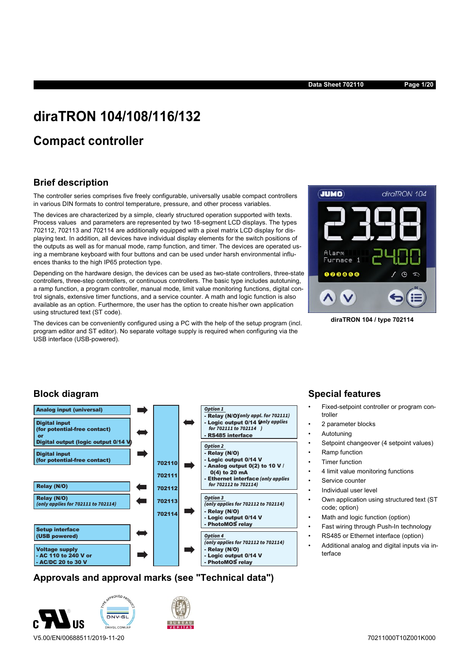**Data Sheet 702110 Page 1/20**

# **diraTRON 104/108/116/132**

# **Compact controller**

## **Brief description**

The controller series comprises five freely configurable, universally usable compact controllers in various DIN formats to control temperature, pressure, and other process variables.

The devices are characterized by a simple, clearly structured operation supported with texts. Process values and parameters are represented by two 18-segment LCD displays. The types 702112, 702113 and 702114 are additionally equipped with a pixel matrix LCD display for displaying text. In addition, all devices have individual display elements for the switch positions of the outputs as well as for manual mode, ramp function, and timer. The devices are operated using a membrane keyboard with four buttons and can be used under harsh environmental influences thanks to the high IP65 protection type.

Depending on the hardware design, the devices can be used as two-state controllers, three-state controllers, three-step controllers, or continuous controllers. The basic type includes autotuning, a ramp function, a program controller, manual mode, limit value monitoring functions, digital control signals, extensive timer functions, and a service counter. A math and logic function is also available as an option. Furthermore, the user has the option to create his/her own application using structured text (ST code).

The devices can be conveniently configured using a PC with the help of the setup program (incl. program editor and ST editor). No separate voltage supply is required when configuring via the USB interface (USB-powered).



**diraTRON 104 / type 702114**

## **Block diagram**



## **Approvals and approval marks (see "Technical data")**



## **Special features**

- Fixed-setpoint controller or program controller
- 2 parameter blocks
- **Autotuning**
- Setpoint changeover (4 setpoint values)
- Ramp function
- **Timer function**
- 4 limit value monitoring functions
- Service counter
- Individual user level
- Own application using structured text (ST code; option)
- Math and logic function (option)
- Fast wiring through Push-In technology
- RS485 or Ethernet interface (option)
- Additional analog and digital inputs via interface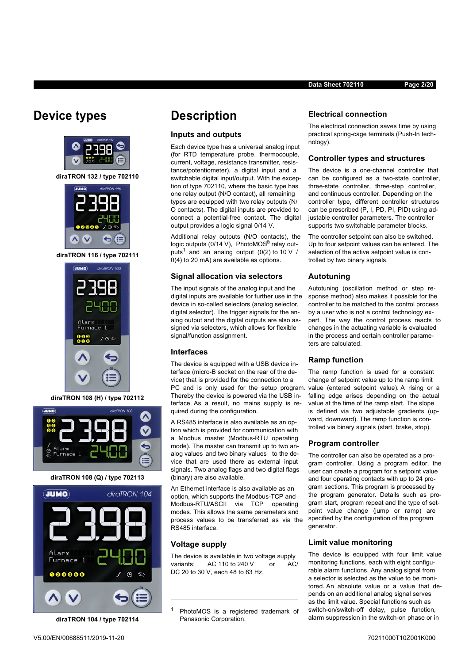# **Device types**



**diraTRON 132 / type 702110**



**diraTRON 116 / type 702111**



**diraTRON 108 (H) / type 702112**



**diraTRON 108 (Q) / type 702113**



**diraTRON 104 / type 702114**

**Description**

**Inputs and outputs**

Each device type has a universal analog input (for RTD temperature probe, thermocouple, current, voltage, resistance transmitter, resistance/potentiometer), a digital input and a switchable digital input/output. With the exception of type 702110, where the basic type has one relay output (N/O contact), all remaining types are equipped with two relay outputs (N/ O contacts). The digital inputs are provided to connect a potential-free contact. The digital output provides a logic signal 0/14 V.

Additional relay outputs (N/O contacts), the logic outputs (0/14 V), PhotoMOS® relay outputs<sup>1</sup> and an analog output (0(2) to 10 V / 0(4) to 20 mA) are available as options.

**Signal allocation via selectors** The input signals of the analog input and the digital inputs are available for further use in the device in so-called selectors (analog selector, digital selector). The trigger signals for the analog output and the digital outputs are also assigned via selectors, which allows for flexible

The device is equipped with a USB device interface (micro-B socket on the rear of the device) that is provided for the connection to a

Thereby the device is powered via the USB interface. As a result, no mains supply is re-

A RS485 interface is also available as an option which is provided for communication with a Modbus master (Modbus-RTU operating mode). The master can transmit up to two analog values and two binary values to the device that are used there as external input signals. Two analog flags and two digital flags

An Ethernet interface is also available as an option, which supports the Modbus-TCP and Modbus-RTU/ASCII via TCP operating modes. This allows the same parameters and process values to be transferred as via the

signal/function assignment.

quired during the configuration.

(binary) are also available.

RS485 interface.

**Voltage supply**

**Interfaces**

#### **Electrical connection**

The electrical connection saves time by using practical spring-cage terminals (Push-In technology).

**Data Sheet 702110 Page 2/20**

#### **Controller types and structures**

The device is a one-channel controller that can be configured as a two-state controller, three-state controller, three-step controller, and continuous controller. Depending on the controller type, different controller structures can be prescribed (P, I, PD, PI, PID) using adjustable controller parameters. The controller supports two switchable parameter blocks.

The controller setpoint can also be switched. Up to four setpoint values can be entered. The selection of the active setpoint value is controlled by two binary signals.

#### **Autotuning**

Autotuning (oscillation method or step response method) also makes it possible for the controller to be matched to the control process by a user who is not a control technology expert. The way the control process reacts to changes in the actuating variable is evaluated in the process and certain controller parameters are calculated.

#### **Ramp function**

PC and is only used for the setup program. value (entered setpoint value). A rising or a The ramp function is used for a constant change of setpoint value up to the ramp limit falling edge arises depending on the actual value at the time of the ramp start. The slope is defined via two adjustable gradients (upward, downward). The ramp function is controlled via binary signals (start, brake, stop).

#### **Program controller**

The controller can also be operated as a program controller. Using a program editor, the user can create a program for a setpoint value and four operating contacts with up to 24 program sections. This program is processed by the program generator. Details such as program start, program repeat and the type of setpoint value change (jump or ramp) are specified by the configuration of the program generator.

#### **Limit value monitoring**

The device is equipped with four limit value monitoring functions, each with eight configurable alarm functions. Any analog signal from a selector is selected as the value to be monitored. An absolute value or a value that depends on an additional analog signal serves as the limit value. Special functions such as switch-on/switch-off delay, pulse function, alarm suppression in the switch-on phase or in

<sup>1</sup> PhotoMOS is a registered trademark of Panasonic Corporation.

The device is available in two voltage supply variants: AC 110 to 240 V or AC/

DC 20 to 30 V, each 48 to 63 Hz.

V5.00/EN/00688511/2019-11-20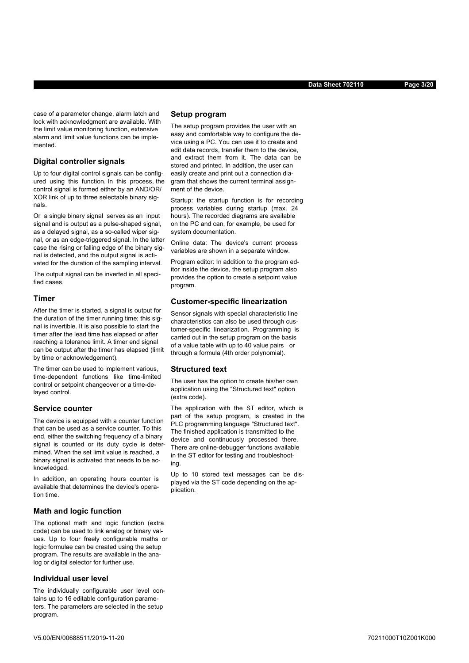case of a parameter change, alarm latch and lock with acknowledgment are available. With the limit value monitoring function, extensive alarm and limit value functions can be implemented.

#### **Digital controller signals**

Up to four digital control signals can be configured using this function. In this process, the control signal is formed either by an AND/OR/ XOR link of up to three selectable binary signals.

Or a single binary signal serves as an input signal and is output as a pulse-shaped signal, as a delayed signal, as a so-called wiper signal, or as an edge-triggered signal. In the latter case the rising or falling edge of the binary signal is detected, and the output signal is activated for the duration of the sampling interval.

The output signal can be inverted in all specified cases.

#### **Timer**

After the timer is started, a signal is output for the duration of the timer running time; this signal is invertible. It is also possible to start the timer after the lead time has elapsed or after reaching a tolerance limit. A timer end signal can be output after the timer has elapsed (limit by time or acknowledgement).

The timer can be used to implement various, time-dependent functions like time-limited control or setpoint changeover or a time-delayed control.

#### **Service counter**

The device is equipped with a counter function that can be used as a service counter. To this end, either the switching frequency of a binary signal is counted or its duty cycle is determined. When the set limit value is reached, a binary signal is activated that needs to be acknowledged.

In addition, an operating hours counter is available that determines the device's operation time.

#### **Math and logic function**

The optional math and logic function (extra code) can be used to link analog or binary values. Up to four freely configurable maths or logic formulae can be created using the setup program. The results are available in the analog or digital selector for further use.

#### **Individual user level**

The individually configurable user level contains up to 16 editable configuration parameters. The parameters are selected in the setup program.

#### **Setup program**

The setup program provides the user with an easy and comfortable way to configure the device using a PC. You can use it to create and edit data records, transfer them to the device, and extract them from it. The data can be stored and printed. In addition, the user can easily create and print out a connection diagram that shows the current terminal assignment of the device.

Startup: the startup function is for recording process variables during startup (max. 24 hours). The recorded diagrams are available on the PC and can, for example, be used for system documentation.

Online data: The device's current process variables are shown in a separate window.

Program editor: In addition to the program editor inside the device, the setup program also provides the option to create a setpoint value program.

#### **Customer-specific linearization**

Sensor signals with special characteristic line characteristics can also be used through customer-specific linearization. Programming is carried out in the setup program on the basis of a value table with up to 40 value pairs or through a formula (4th order polynomial).

#### **Structured text**

The user has the option to create his/her own application using the "Structured text" option (extra code).

The application with the ST editor, which is part of the setup program, is created in the PLC programming language "Structured text". The finished application is transmitted to the device and continuously processed there. There are online-debugger functions available in the ST editor for testing and troubleshooting.

Up to 10 stored text messages can be displayed via the ST code depending on the application.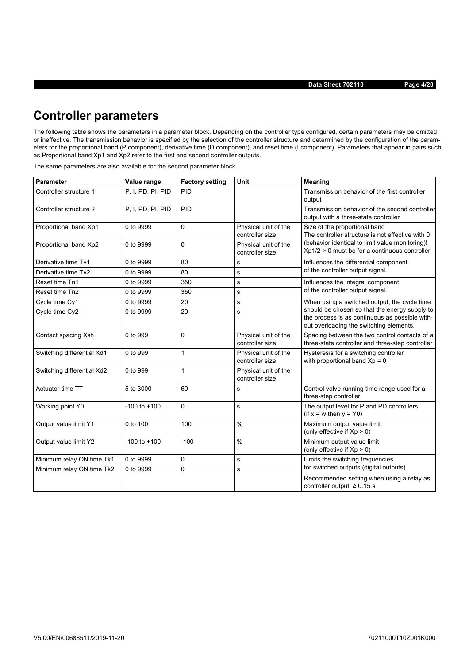**Data Sheet 702110 Page 4/20**

# **Controller parameters**

The following table shows the parameters in a parameter block. Depending on the controller type configured, certain parameters may be omitted or ineffective. The transmission behavior is specified by the selection of the controller structure and determined by the configuration of the parameters for the proportional band (P component), derivative time (D component), and reset time (I component). Parameters that appear in pairs such as Proportional band Xp1 and Xp2 refer to the first and second controller outputs.

**Parameter Value range Factory setting Unit Meaning** Controller structure 1 P, I, PD, PI, PID PID PID **Transmission behavior of the first controller** output Controller structure 2 P, I, PD, PI, PID PID Transmission behavior of the second controller output with a three-state controller Proportional band Xp1 0 to 9999 0 0 Physical unit of the controller size Size of the proportional band The controller structure is not effective with 0 (behavior identical to limit value monitoring)! Xp1/2 > 0 must be for a continuous controller. Proportional band Xp2 0 to 9999 0 0 Physical unit of the controller size Derivative time Tv1 0 to 9999 80 80 s Influences the differential component Derivative time Tv2  $\overline{\hspace{1em}}$  0 to 9999 80  $\overline{\hspace{1em}}$  s  $\overline{\hspace{1em}}$  of the controller output signal. Reset time Tn1 0 to 9999 350 s 350 s Influences the integral component Reset time Tn2 0 to 9999 350 set time Tn2 Cycle time Cy1 0 to 9999 20 s When using a switched output, the cycle time should be chosen so that the energy supply to the process is as continuous as possible without overloading the switching elements. Cycle time Cy2 0 to 9999 20 s Contact spacing Xsh 0 to 999 0 Physical unit of the controller size Spacing between the two control contacts of a three-state controller and three-step controller Switching differential Xd1 0 to 999 1 Physical unit of the controller size Hysteresis for a switching controller with proportional band  $Xp = 0$ Switching differential Xd2 0 to 999 1 Physical unit of the controller size Actuator time TT 5 to 3000 60 s Section 1 s Control valve running time range used for a three-step controller Working point Y0  $\vert$ -100 to +100  $\vert$  0 s The output level for P and PD controllers (if  $x = w$  then  $y = Y0$ ) Output value limit Y1 0 to 100 100 100  $\frac{1}{8}$  Maximum output value limit (only effective if  $Xp > 0$ ) Output value limit Y2  $\vert$  -100 to +100  $\vert$  -100  $\vert$  % Minimum output value limit (only effective if  $Xp > 0$ ) Minimum relay ON time Tk1 0 to 9999 0 0 s Limits the switching frequencies for switched outputs (digital outputs) Recommended setting when using a relay as controller output: ≥ 0.15 s Minimum relay ON time Tk2 0 to 9999 0 s

The same parameters are also available for the second parameter block.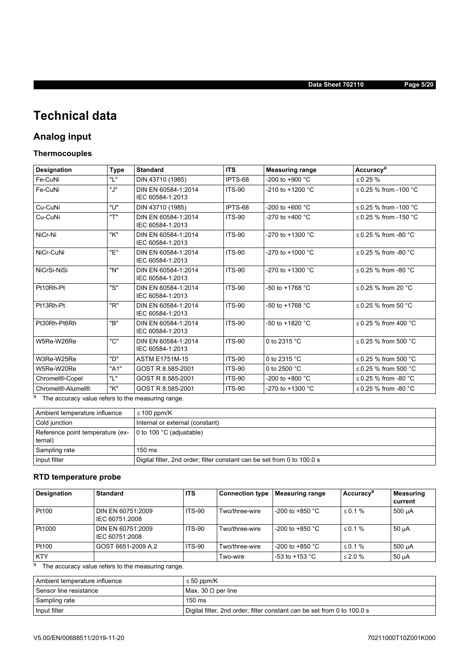**Data Sheet 702110 Page 5/20**

# **Technical data**

## **Analog input**

## **Thermocouples**

| <b>Designation</b>          | <b>Type</b> | <b>Standard</b>                         | <b>ITS</b>    | <b>Measuring range</b>     | Accuracy <sup>a</sup>     |
|-----------------------------|-------------|-----------------------------------------|---------------|----------------------------|---------------------------|
| Fe-CuNi                     | "L"         | DIN 43710 (1985)                        | IPTS-68       | -200 to +900 $^{\circ}$ C  | $\leq 0.25 \%$            |
| Fe-CuNi                     | "J"         | DIN EN 60584-1:2014<br>IEC 60584-1:2013 | <b>ITS-90</b> | $-210$ to $+1200$ °C       | ≤ 0.25 % from -100 °C     |
| Cu-CuNi                     | "U"         | DIN 43710 (1985)                        | IPTS-68       | -200 to +600 $^{\circ}$ C  | ≤ 0.25 % from -100 °C     |
| Cu-CuNi                     | "T"         | DIN EN 60584-1:2014<br>IEC 60584-1:2013 | <b>ITS-90</b> | $-270$ to $+400$ °C        | ≤ 0.25 % from -150 °C     |
| NiCr-Ni                     | "K"         | DIN EN 60584-1:2014<br>IEC 60584-1:2013 | <b>ITS-90</b> | -270 to +1300 $^{\circ}$ C | $\leq$ 0.25 % from -80 °C |
| NiCr-CuNi                   | "Е"         | DIN EN 60584-1:2014<br>IEC 60584-1:2013 | <b>ITS-90</b> | -270 to +1000 $^{\circ}$ C | $\leq$ 0.25 % from -80 °C |
| NiCrSi-NiSi                 | "N"         | DIN EN 60584-1:2014<br>IEC 60584-1:2013 | <b>ITS-90</b> | -270 to +1300 $^{\circ}$ C | $\leq$ 0.25 % from -80 °C |
| Pt10Rh-Pt                   | "S"         | DIN EN 60584-1:2014<br>IEC 60584-1:2013 | <b>ITS-90</b> | $-50$ to $+1768$ °C        | $\leq$ 0.25 % from 20 °C  |
| Pt13Rh-Pt                   | "R"         | DIN EN 60584-1:2014<br>IEC 60584-1:2013 | <b>ITS-90</b> | -50 to +1768 $^{\circ}$ C  | $\leq$ 0.25 % from 50 °C  |
| Pt30Rh-Pt6Rh                | "B"         | DIN EN 60584-1:2014<br>IEC 60584-1:2013 | <b>ITS-90</b> | -50 to +1820 $^{\circ}$ C  | $\leq$ 0.25 % from 400 °C |
| W5Re-W26Re                  | "C"         | DIN EN 60584-1:2014<br>IEC 60584-1:2013 | <b>ITS-90</b> | 0 to 2315 °C               | ≤ 0.25 % from 500 °C      |
| W3Re-W25Re                  | "ח          | <b>ASTM E1751M-15</b>                   | <b>ITS-90</b> | 0 to 2315 $°C$             | $\leq$ 0.25 % from 500 °C |
| W5Re-W20Re                  | "A1"        | GOST R 8.585-2001                       | <b>ITS-90</b> | 0 to 2500 $°C$             | ≤ 0.25 % from 500 °C      |
| Chromel <sup>®</sup> -Copel | "L"         | GOST R 8.585-2001                       | <b>ITS-90</b> | $-200$ to $+800$ °C        | $\leq$ 0.25 % from -80 °C |
| Chromel®-Alumel®            | "K"         | GOST R 8.585-2001                       | <b>ITS-90</b> | -270 to +1300 $^{\circ}$ C | ≤ 0.25 % from -80 °C      |

a The accuracy value refers to the measuring range.

| Ambient temperature influence               | $\leq$ 100 ppm/K                                                        |
|---------------------------------------------|-------------------------------------------------------------------------|
| Cold junction                               | Internal or external (constant)                                         |
| Reference point temperature (ex-<br>ternal) | 0 to 100 $^{\circ}$ C (adjustable)                                      |
| Sampling rate                               | $150 \text{ ms}$                                                        |
| Input filter                                | Digital filter, 2nd order; filter constant can be set from 0 to 100.0 s |

## **RTD temperature probe**

| Designation | <b>Standard</b>                     | <b>ITS</b>    | <b>Connection type</b> | <b>Measuring range</b>    | Accuracy <sup>a</sup> | <b>Measuring</b><br>current |
|-------------|-------------------------------------|---------------|------------------------|---------------------------|-----------------------|-----------------------------|
| Pt100       | DIN EN 60751:2009<br>IEC 60751:2008 | <b>ITS-90</b> | Two/three-wire         | $-200$ to $+850$ °C       | $\leq$ 0.1%           | $500 \mu A$                 |
| Pt1000      | DIN EN 60751:2009<br>IEC 60751:2008 | <b>ITS-90</b> | Two/three-wire         | $-200$ to $+850$ °C       | $\leq$ 0.1%           | $50 \mu A$                  |
| Pt100       | GOST 6651-2009 A.2                  | <b>ITS-90</b> | Two/three-wire         | -200 to +850 $^{\circ}$ C | ≤ 0.1 %               | $500 \mu A$                 |
| <b>KTY</b>  |                                     |               | Two-wire               | -53 to +153 $^{\circ}$ C  | $\leq$ 2.0 %          | $50 \mu A$                  |

a The accuracy value refers to the measuring range.

| Ambient temperature influence | $\leq 50$ ppm/K                                                         |
|-------------------------------|-------------------------------------------------------------------------|
| l Sensor line resistance      | Max. 30 $\Omega$ per line                                               |
| Sampling rate                 | $150 \text{ ms}$                                                        |
| Input filter                  | Digital filter, 2nd order; filter constant can be set from 0 to 100.0 s |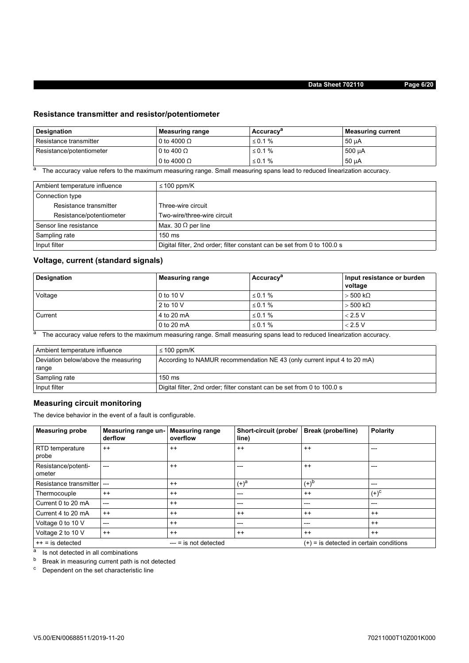## **Resistance transmitter and resistor/potentiometer**

| Designation              | Measuring range    | Accuracy <sup>a</sup> | <b>Measuring current</b> |
|--------------------------|--------------------|-----------------------|--------------------------|
| Resistance transmitter   | 0 to 4000 $\Omega$ | ≤ 0.1 %               | $50 \mu A$               |
| Resistance/potentiometer | 0 to 400 $\Omega$  | ≤ 0.1 %               | 500 µA                   |
|                          | 0 to 4000 $\Omega$ | ≤ 0.1 %               | $50 \mu A$               |

<sup>a</sup> The accuracy value refers to the maximum measuring range. Small measuring spans lead to reduced linearization accuracy.

| Ambient temperature influence | $\leq$ 100 ppm/K                                                        |
|-------------------------------|-------------------------------------------------------------------------|
| Connection type               |                                                                         |
| Resistance transmitter        | Three-wire circuit                                                      |
| Resistance/potentiometer      | Two-wire/three-wire circuit                                             |
| Sensor line resistance        | Max. 30 $\Omega$ per line                                               |
| Sampling rate                 | $150 \text{ ms}$                                                        |
| Input filter                  | Digital filter, 2nd order; filter constant can be set from 0 to 100.0 s |

## **Voltage, current (standard signals)**

| Designation | <b>Measuring range</b> | Accuracy <sup>a</sup> | Input resistance or burden<br>voltage |
|-------------|------------------------|-----------------------|---------------------------------------|
| Voltage     | 0 to 10 V              | ≤ 0.1 %               | $>$ 500 k $\Omega$                    |
|             | 2 to 10 V              | ≤ 0.1 %               | $>$ 500 k $\Omega$                    |
| Current     | 4 to 20 mA             | $\leq$ 0.1%           | < 2.5 V                               |
|             | 0 to 20 mA             | ≤ 0.1 %               | < 2.5 V                               |

a The accuracy value refers to the maximum measuring range. Small measuring spans lead to reduced linearization accuracy.

| Ambient temperature influence       | ≤ 100 ppm/K                                                             |
|-------------------------------------|-------------------------------------------------------------------------|
| Deviation below/above the measuring | According to NAMUR recommendation NE 43 (only current input 4 to 20 mA) |
| range                               |                                                                         |
| Sampling rate                       | $150 \text{ ms}$                                                        |
| Input filter                        | Digital filter, 2nd order; filter constant can be set from 0 to 100.0 s |

## **Measuring circuit monitoring**

The device behavior in the event of a fault is configurable.

| <b>Measuring probe</b>          | Measuring range un-<br>derflow | <b>Measuring range</b><br>overflow | Short-circuit (probe/<br>line) | Break (probe/line)                        | <b>Polarity</b> |
|---------------------------------|--------------------------------|------------------------------------|--------------------------------|-------------------------------------------|-----------------|
| <b>RTD</b> temperature<br>probe | $^{++}$                        | $^{++}$                            | $++$                           | $^{++}$                                   | ---             |
| Resistance/potenti-<br>ometer   | $---$                          | $^{++}$                            | ---                            | $++$                                      | $---$           |
| Resistance transmitter          | $---$                          | $^{++}$                            | $(+)^a$                        | $(+)^{b}$                                 | ---             |
| Thermocouple                    | $^{++}$                        | $^{++}$                            | ---                            | $^{++}$                                   | $(+)^c$         |
| Current 0 to 20 mA              | $---$                          | $++$                               | ---                            | $---$                                     | $---$           |
| Current 4 to 20 mA              | $^{++}$                        | $^{++}$                            | $++$                           | $^{++}$                                   | $^{++}$         |
| Voltage 0 to 10 V               | $---$                          | $^{++}$                            | ---                            | $---$                                     | $^{++}$         |
| Voltage 2 to 10 V               | $^{++}$                        | $^{++}$                            | $^{++}$                        | $^{++}$                                   | $^{++}$         |
| $++ =$ is detected              |                                | $---$ = is not detected            |                                | $(+)$ = is detected in certain conditions |                 |

<sup>a</sup> Is not detected in all combinations

**b** Break in measuring current path is not detected

<sup>c</sup> Dependent on the set characteristic line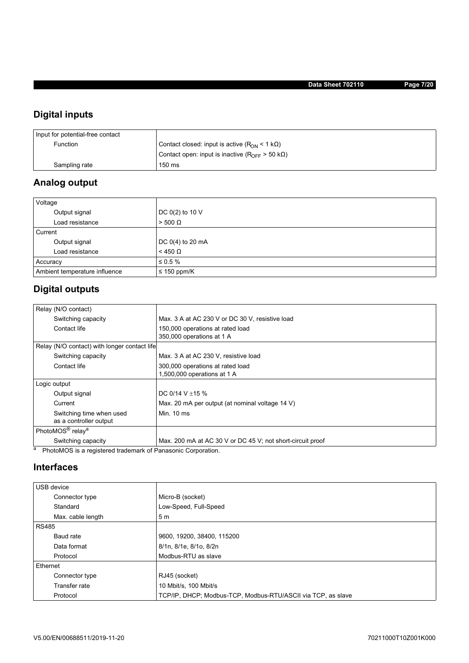## **Digital inputs**

| Input for potential-free contact |                                                                      |
|----------------------------------|----------------------------------------------------------------------|
| Function                         | Contact closed: input is active $(RON < 1 k\Omega)$                  |
|                                  | Contact open: input is inactive ( $R_{\text{OFF}}$ > 50 k $\Omega$ ) |
| Sampling rate                    | 150 ms                                                               |

# **Analog output**

| Voltage                       |                  |
|-------------------------------|------------------|
| Output signal                 | DC 0(2) to 10 V  |
| Load resistance               | $> 500 \Omega$   |
| Current                       |                  |
| Output signal                 | DC 0(4) to 20 mA |
| Load resistance               | $<$ 450 $\Omega$ |
| Accuracy                      | $\leq 0.5 \%$    |
| Ambient temperature influence | $\leq$ 150 ppm/K |

## **Digital outputs**

| Relay (N/O contact)                                                     |                                                            |
|-------------------------------------------------------------------------|------------------------------------------------------------|
| Switching capacity                                                      | Max. 3 A at AC 230 V or DC 30 V, resistive load            |
| Contact life                                                            | 150,000 operations at rated load                           |
|                                                                         | 350,000 operations at 1 A                                  |
| Relay (N/O contact) with longer contact life                            |                                                            |
| Switching capacity                                                      | Max, 3 A at AC 230 V, resistive load                       |
| Contact life                                                            | 300,000 operations at rated load                           |
|                                                                         | 1,500,000 operations at 1 A                                |
| Logic output                                                            |                                                            |
| Output signal                                                           | DC 0/14 V $\pm$ 15 %                                       |
| Current                                                                 | Max. 20 mA per output (at nominal voltage 14 V)            |
| Switching time when used                                                | Min. 10 ms                                                 |
| as a controller output                                                  |                                                            |
| PhotoMOS <sup>®</sup> relay <sup>a</sup>                                |                                                            |
| Switching capacity                                                      | Max. 200 mA at AC 30 V or DC 45 V; not short-circuit proof |
| а<br><b>PhotoMOS</b> is a registered trademark of Panasonic Cornoration |                                                            |

PhotoMOS is a registered trademark of Panasonic Corporation.

## **Interfaces**

| USB device        |                                                              |  |  |  |
|-------------------|--------------------------------------------------------------|--|--|--|
| Connector type    | Micro-B (socket)                                             |  |  |  |
| Standard          | Low-Speed, Full-Speed                                        |  |  |  |
| Max. cable length | 5 <sub>m</sub>                                               |  |  |  |
| <b>RS485</b>      |                                                              |  |  |  |
| Baud rate         | 9600, 19200, 38400, 115200                                   |  |  |  |
| Data format       | 8/1n, 8/1e, 8/1o, 8/2n                                       |  |  |  |
| Protocol          | Modbus-RTU as slave                                          |  |  |  |
| Ethernet          |                                                              |  |  |  |
| Connector type    | RJ45 (socket)                                                |  |  |  |
| Transfer rate     | 10 Mbit/s, 100 Mbit/s                                        |  |  |  |
| Protocol          | TCP/IP, DHCP; Modbus-TCP, Modbus-RTU/ASCII via TCP, as slave |  |  |  |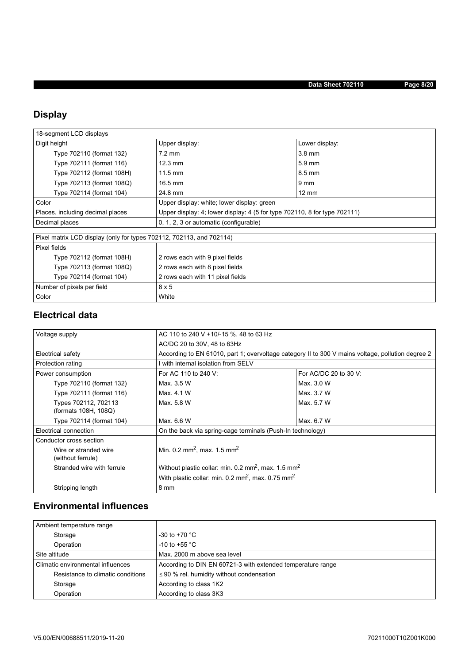# **Display**

| 18-segment LCD displays                                              |                                                                                 |                  |  |  |  |
|----------------------------------------------------------------------|---------------------------------------------------------------------------------|------------------|--|--|--|
| Digit height                                                         | Upper display:                                                                  | Lower display:   |  |  |  |
| Type 702110 (format 132)                                             | $7.2 \text{ mm}$                                                                | $3.8$ mm         |  |  |  |
| Type 702111 (format 116)                                             | $12.3 \text{ mm}$                                                               | $5.9 \text{ mm}$ |  |  |  |
| Type 702112 (format 108H)                                            | $11.5 \text{ mm}$                                                               | $8.5 \text{ mm}$ |  |  |  |
| Type 702113 (format 108Q)                                            | $16.5 \text{ mm}$                                                               | $9 \text{ mm}$   |  |  |  |
| Type 702114 (format 104)                                             | 24.8 mm                                                                         | $12 \text{ mm}$  |  |  |  |
| Color                                                                | Upper display: white; lower display: green                                      |                  |  |  |  |
| Places, including decimal places                                     | Upper display: 4; lower display: 4 (5 for type $702110$ , 8 for type $702111$ ) |                  |  |  |  |
| Decimal places                                                       | 0, 1, 2, 3 or automatic (configurable)                                          |                  |  |  |  |
|                                                                      |                                                                                 |                  |  |  |  |
| Pixel matrix LCD display (only for types 702112, 702113, and 702114) |                                                                                 |                  |  |  |  |
| Pixel fields                                                         |                                                                                 |                  |  |  |  |
| Type 702112 (format 108H)                                            | 2 rows each with 9 pixel fields                                                 |                  |  |  |  |
| Type 702113 (format 108Q)                                            | 2 rows each with 8 pixel fields                                                 |                  |  |  |  |
| Type 702114 (format 104)                                             | 2 rows each with 11 pixel fields                                                |                  |  |  |  |
| Number of pixels per field                                           | 8x5                                                                             |                  |  |  |  |
| Color                                                                | White                                                                           |                  |  |  |  |

## **Electrical data**

| Voltage supply                               | AC 110 to 240 V +10/-15 %, 48 to 63 Hz                                      |                                                                                                   |  |  |  |
|----------------------------------------------|-----------------------------------------------------------------------------|---------------------------------------------------------------------------------------------------|--|--|--|
|                                              | AC/DC 20 to 30V, 48 to 63Hz                                                 |                                                                                                   |  |  |  |
| Electrical safety                            |                                                                             | According to EN 61010, part 1; overvoltage category II to 300 V mains voltage, pollution degree 2 |  |  |  |
| Protection rating                            | with internal isolation from SELV                                           |                                                                                                   |  |  |  |
| Power consumption                            | For AC 110 to 240 V:                                                        | For AC/DC 20 to 30 V:                                                                             |  |  |  |
| Type 702110 (format 132)                     | Max. 3.5 W                                                                  | Max. 3.0 W                                                                                        |  |  |  |
| Type 702111 (format 116)                     | Max. 4.1 W                                                                  | Max. 3.7 W                                                                                        |  |  |  |
| Types 702112, 702113<br>(formats 108H, 108Q) | Max. 5.8 W                                                                  | Max. 5.7 W                                                                                        |  |  |  |
| Type 702114 (format 104)                     | Max, 6.6 W                                                                  | Max. 6.7 W                                                                                        |  |  |  |
| Electrical connection                        | On the back via spring-cage terminals (Push-In technology)                  |                                                                                                   |  |  |  |
| Conductor cross section                      |                                                                             |                                                                                                   |  |  |  |
| Wire or stranded wire<br>(without ferrule)   | Min. 0.2 mm <sup>2</sup> , max. 1.5 mm <sup>2</sup>                         |                                                                                                   |  |  |  |
| Stranded wire with ferrule                   | Without plastic collar: min. 0.2 mm <sup>2</sup> , max. 1.5 mm <sup>2</sup> |                                                                                                   |  |  |  |
|                                              | With plastic collar: min. 0.2 mm <sup>2</sup> , max. 0.75 mm <sup>2</sup>   |                                                                                                   |  |  |  |
| Stripping length                             | 8 mm                                                                        |                                                                                                   |  |  |  |

## **Environmental influences**

| Ambient temperature range         |                                                             |
|-----------------------------------|-------------------------------------------------------------|
| Storage                           | -30 to +70 $^{\circ}$ C                                     |
| Operation                         | $-10$ to +55 $^{\circ}$ C                                   |
| Site altitude                     | Max. 2000 m above sea level                                 |
| Climatic environmental influences | According to DIN EN 60721-3 with extended temperature range |
| Resistance to climatic conditions | $\leq$ 90 % rel. humidity without condensation              |
| Storage                           | According to class 1K2                                      |
| Operation                         | According to class 3K3                                      |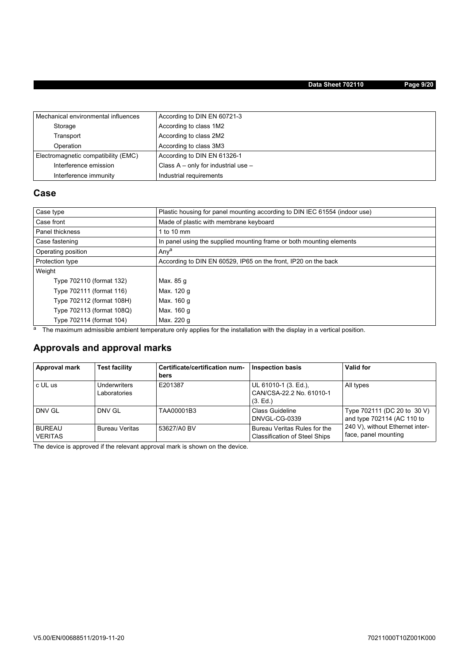## **Data Sheet 702110 Page 9/20**

| Mechanical environmental influences | According to DIN EN 60721-3             |
|-------------------------------------|-----------------------------------------|
| Storage                             | According to class 1M2                  |
| Transport                           | According to class 2M2                  |
| Operation                           | According to class 3M3                  |
| Electromagnetic compatibility (EMC) | According to DIN EN 61326-1             |
| Interference emission               | Class $A - only$ for industrial use $-$ |
| Interference immunity               | Industrial requirements                 |

## **Case**

| Case type                                            | Plastic housing for panel mounting according to DIN IEC 61554 (indoor use) |
|------------------------------------------------------|----------------------------------------------------------------------------|
| Made of plastic with membrane keyboard<br>Case front |                                                                            |
| Panel thickness                                      | 1 to 10 mm                                                                 |
| Case fastening                                       | In panel using the supplied mounting frame or both mounting elements       |
| Operating position                                   | Anya                                                                       |
| Protection type                                      | According to DIN EN 60529, IP65 on the front, IP20 on the back             |
| Weight                                               |                                                                            |
| Type 702110 (format 132)                             | Max. 85 g                                                                  |
| Type 702111 (format 116)                             | Max. 120 g                                                                 |
| Type 702112 (format 108H)                            | Max. 160 g                                                                 |
| Type 702113 (format 108Q)                            | Max. 160 g                                                                 |
| Type 702114 (format 104)                             | Max. 220 g                                                                 |

a The maximum admissible ambient temperature only applies for the installation with the display in a vertical position.

## **Approvals and approval marks**

| Approval mark                   | <b>Test facility</b>         | Certificate/certification num-<br>bers | <b>Inspection basis</b>                                              | Valid for                                                 |
|---------------------------------|------------------------------|----------------------------------------|----------------------------------------------------------------------|-----------------------------------------------------------|
| c UL us                         | Underwriters<br>Laboratories | E201387                                | UL 61010-1 (3. Ed.),<br>CAN/CSA-22.2 No. 61010-1<br>(3. Ed.)         | All types                                                 |
| DNV GL                          | DNV GL                       | TAA00001B3                             | <b>Class Guideline</b><br>DNVGL-CG-0339                              | Type 702111 (DC 20 to 30 V)<br>and type 702114 (AC 110 to |
| <b>BUREAU</b><br><b>VERITAS</b> | <b>Bureau Veritas</b>        | 53627/A0 BV                            | Bureau Veritas Rules for the<br><b>Classification of Steel Ships</b> | 240 V), without Ethernet inter-<br>face, panel mounting   |

The device is approved if the relevant approval mark is shown on the device.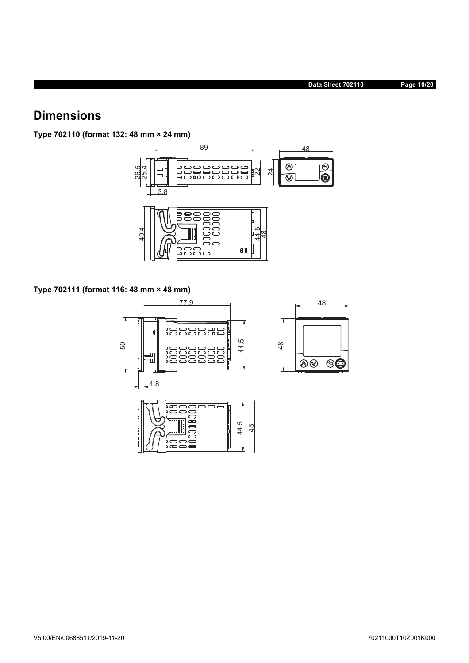# **Dimensions**

**Type 702110 (format 132: 48 mm × 24 mm)**



**Type 702111 (format 116: 48 mm × 48 mm)**

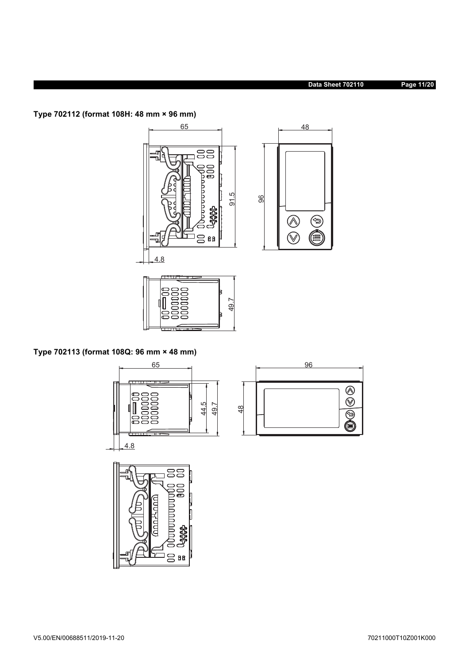## **Data Sheet 702110 Page 11/20**

**Type 702112 (format 108H: 48 mm × 96 mm)**





**Type 702113 (format 108Q: 96 mm × 48 mm)**





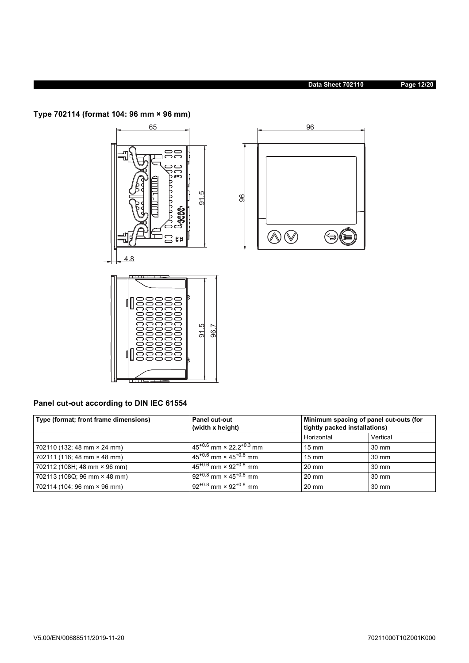## **Data Sheet 702110 Page 12/20**

**Type 702114 (format 104: 96 mm × 96 mm)**



## **Panel cut-out according to DIN IEC 61554**

| Type (format; front frame dimensions) | <b>Panel cut-out</b><br>(width x height)      | Minimum spacing of panel cut-outs (for<br>tightly packed installations) |                 |
|---------------------------------------|-----------------------------------------------|-------------------------------------------------------------------------|-----------------|
|                                       |                                               | Horizontal                                                              | Vertical        |
| 702110 (132; 48 mm × 24 mm)           | $45^{+0.6}$ mm x 22 $2^{+0.3}$ mm             | $15 \text{ mm}$                                                         | $30 \text{ mm}$ |
| 702111 (116; 48 mm × 48 mm)           | $45^{+0.6}$ mm $\times 45^{+0.6}$ mm          | $15 \text{ mm}$                                                         | $30 \text{ mm}$ |
| 702112 (108H; 48 mm × 96 mm)          | $45^{+0.6}$ mm $\times$ 92 <sup>+0.8</sup> mm | $20 \text{ mm}$                                                         | $30 \text{ mm}$ |
| 702113 (108Q; 96 mm × 48 mm)          | $92^{+0.8}$ mm × 45 <sup>+0.6</sup> mm        | $20 \text{ mm}$                                                         | $30 \text{ mm}$ |
| 702114 (104; 96 mm × 96 mm)           | $92^{+0.8}$ mm $\times$ $92^{+0.8}$ mm        | $20 \text{ mm}$                                                         | 30 mm           |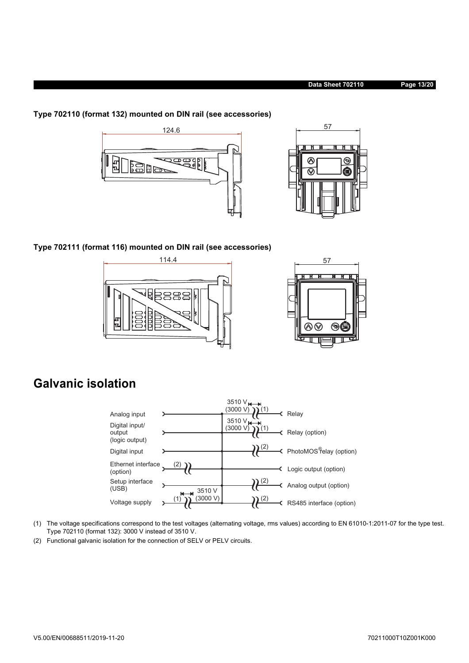



**Type 702110 (format 132) mounted on DIN rail (see accessories)**

**Type 702111 (format 116) mounted on DIN rail (see accessories)**





# **Galvanic isolation**



- (1) The voltage specifications correspond to the test voltages (alternating voltage, rms values) according to EN 61010-1:2011-07 for the type test. Type 702110 (format 132): 3000 V instead of 3510 V.
- (2) Functional galvanic isolation for the connection of SELV or PELV circuits.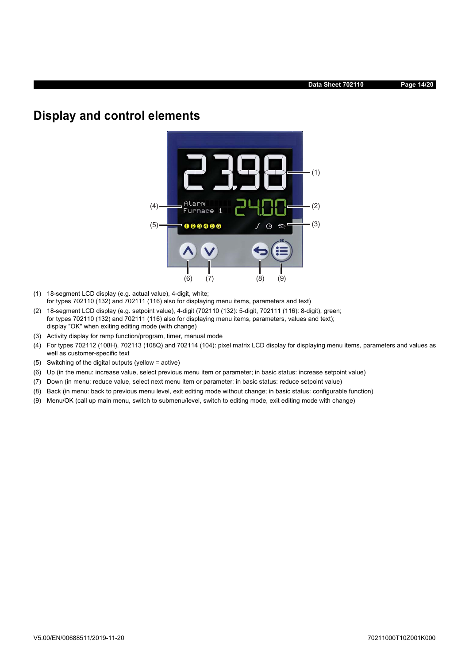# **Display and control elements**



- (1) 18-segment LCD display (e.g. actual value), 4-digit, white; for types 702110 (132) and 702111 (116) also for displaying menu items, parameters and text)
- (2) 18-segment LCD display (e.g. setpoint value), 4-digit (702110 (132): 5-digit, 702111 (116): 8-digit), green; for types 702110 (132) and 702111 (116) also for displaying menu items, parameters, values and text); display "OK" when exiting editing mode (with change)
- (3) Activity display for ramp function/program, timer, manual mode
- (4) For types 702112 (108H), 702113 (108Q) and 702114 (104): pixel matrix LCD display for displaying menu items, parameters and values as well as customer-specific text
- (5) Switching of the digital outputs (yellow = active)
- (6) Up (in the menu: increase value, select previous menu item or parameter; in basic status: increase setpoint value)
- (7) Down (in menu: reduce value, select next menu item or parameter; in basic status: reduce setpoint value)
- (8) Back (in menu: back to previous menu level, exit editing mode without change; in basic status: configurable function)
- (9) Menu/OK (call up main menu, switch to submenu/level, switch to editing mode, exit editing mode with change)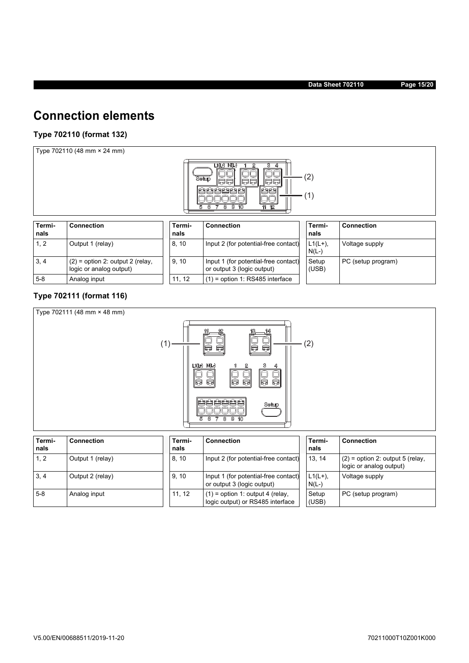# **Connection elements**

## **Type 702110 (format 132)**

Type 702110 (48 mm × 24 mm)



| Termi-<br>nals | Connection                                                    | Termi-<br>nals | <b>Connection</b>                                                  | Termi-<br>nals      | <b>Connection</b>  |
|----------------|---------------------------------------------------------------|----------------|--------------------------------------------------------------------|---------------------|--------------------|
| 1, 2           | Output 1 (relay)                                              | 8, 10          | Input 2 (for potential-free contact)                               | $L1(L+),$<br>$N(L-$ | Voltage supply     |
| 3, 4           | $(2)$ = option 2: output 2 (relay,<br>logic or analog output) | 9.10           | Input 1 (for potential-free contact)<br>or output 3 (logic output) | Setup<br>(USB)      | PC (setup program) |
| $5-8$          | Analog input                                                  | 11.12          | $(1)$ = option 1: RS485 interface                                  |                     |                    |

### **Type 702111 (format 116)**



| Termi-<br>nals | <b>Connection</b> | Termi-<br>nals | <b>Connection</b>                                                      | Termi-<br>nals       | <b>Connection</b>                                             |
|----------------|-------------------|----------------|------------------------------------------------------------------------|----------------------|---------------------------------------------------------------|
| 1, 2           | Output 1 (relay)  | 8.10           | Input 2 (for potential-free contact)                                   | 13, 14               | $(2)$ = option 2: output 5 (relay,<br>logic or analog output) |
| 3, 4           | Output 2 (relay)  | 9.10           | Input 1 (for potential-free contact)<br>or output 3 (logic output)     | $L1(L+),$<br>$N(L-)$ | Voltage supply                                                |
| $5 - 8$        | Analog input      | 11.12          | $(1)$ = option 1: output 4 (relay,<br>logic output) or RS485 interface | Setup<br>(USE)       | PC (setup program)                                            |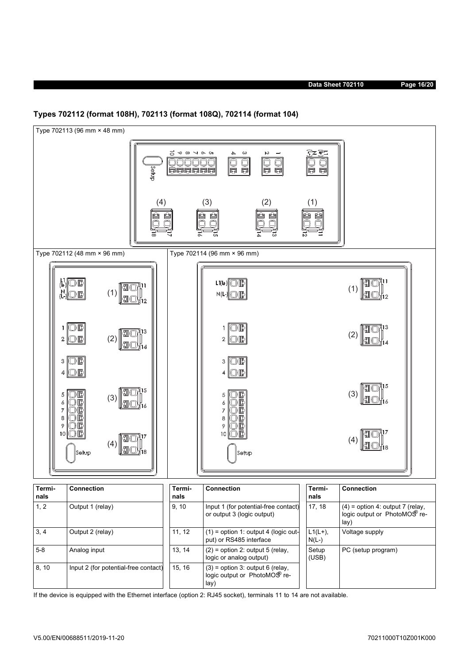



If the device is equipped with the Ethernet interface (option 2: RJ45 socket), terminals 11 to 14 are not available.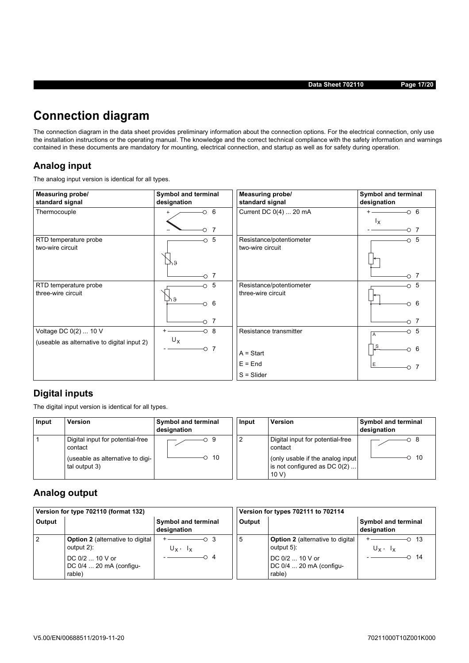**Data Sheet 702110 Page 17/20**

# **Connection diagram**

The connection diagram in the data sheet provides preliminary information about the connection options. For the electrical connection, only use the installation instructions or the operating manual. The knowledge and the correct technical compliance with the safety information and warnings contained in these documents are mandatory for mounting, electrical connection, and startup as well as for safety during operation.

## **Analog input**

The analog input version is identical for all types.

| <b>Measuring probe/</b><br>standard signal  | Symbol and terminal<br>designation | <b>Measuring probe/</b><br>standard signal     | Symbol and terminal<br>designation |
|---------------------------------------------|------------------------------------|------------------------------------------------|------------------------------------|
| Thermocouple                                | 6<br>$\circ$<br>$^{+}$             | Current DC 0(4)  20 mA                         | $-0$ 6<br>$I_X$                    |
| RTD temperature probe<br>two-wire circuit   | $-0$ 7<br>- 5<br>Ő.<br>R Æ         | Resistance/potentiometer<br>two-wire circuit   | $\overline{\circ}$ 7<br>$\sim$ 5   |
| RTD temperature probe<br>three-wire circuit | -7<br>∩<br>5<br>O<br>87<br>6       | Resistance/potentiometer<br>three-wire circuit | - 7<br>Ο<br>5<br>O<br>6<br>↷       |
| Voltage DC 0(2)  10 V                       | 7<br>$\circ$ 8                     | Resistance transmitter                         | 5<br>Ω<br>A                        |
| (useable as alternative to digital input 2) | $U_X$<br>7<br>-0                   | $A = Start$                                    | S<br>6<br>∩                        |
|                                             |                                    | $E = End$<br>$S = S$ lider                     | Ε                                  |

## **Digital inputs**

The digital input version is identical for all types.

| Input | <b>Version</b>                                                                                   | Symbol and terminal<br>designation | Input          | Version                                                                                                                     | Symbol and terminal<br>designation |
|-------|--------------------------------------------------------------------------------------------------|------------------------------------|----------------|-----------------------------------------------------------------------------------------------------------------------------|------------------------------------|
|       | Digital input for potential-free<br>contact<br>(useable as alternative to digi-<br>tal output 3) | - 10                               | $\overline{c}$ | Digital input for potential-free<br>contact<br>(only usable if the analog input)<br>is not configured as $DC 0(2) $<br>10 V | - 10                               |

## **Analog output**

| Version for type 702110 (format 132) |                                                       |                                           | Version for types 702111 to 702114 |                                                       |                                           |
|--------------------------------------|-------------------------------------------------------|-------------------------------------------|------------------------------------|-------------------------------------------------------|-------------------------------------------|
| Output                               |                                                       | <b>Symbol and terminal</b><br>designation | Output                             |                                                       | <b>Symbol and terminal</b><br>designation |
| 2                                    | <b>Option 2</b> (alternative to digital<br>output 2): | ⊙3<br>$U_x$ , $I_x$                       | 5                                  | <b>Option 2</b> (alternative to digital<br>output 5): | - 13<br>$U_x$ , $I_x$                     |
|                                      | DC $0/2$ 10 V or<br>DC 0/4  20 mA (configu-<br>rable) | റ 4                                       |                                    | DC 0/2  10 V or<br>DC 0/4  20 mA (configu-<br>rable)  | -14                                       |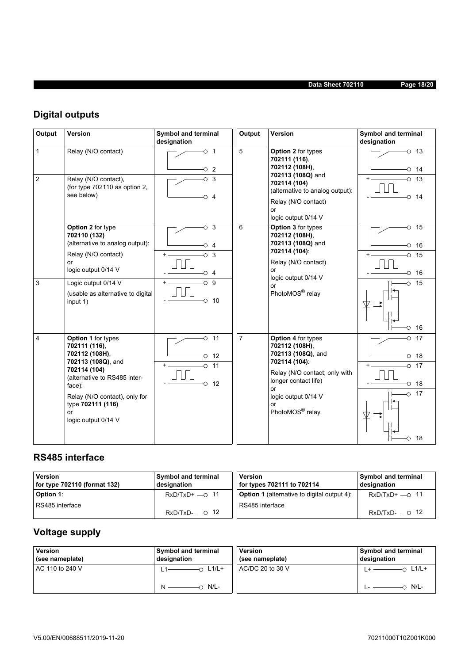## **Data Sheet 702110 Page 18/20**

# **Digital outputs**

| Output                         | Version                                                                         | Symbol and terminal<br>designation  | Output                                     | Version                                                                                    | Symbol and terminal<br>designation       |
|--------------------------------|---------------------------------------------------------------------------------|-------------------------------------|--------------------------------------------|--------------------------------------------------------------------------------------------|------------------------------------------|
| $\mathbf{1}$<br>$\overline{c}$ | Relay (N/O contact)<br>Relay (N/O contact),                                     | $\circ$ 1<br>$\circ$ 2<br>$\circ$ 3 | 5                                          | Option 2 for types<br>702111 (116),<br>702112 (108H),<br>702113 (108Q) and<br>702114 (104) | $-0$ 13<br>14<br>O<br>$+$ $-$<br>13<br>O |
|                                | (for type 702110 as option 2,<br>see below)                                     | O<br>$\overline{4}$                 |                                            | (alternative to analog output):<br>Relay (N/O contact)<br>or<br>logic output 0/14 V        | 14<br>Ω                                  |
|                                | Option 2 for type<br>702110 (132)<br>(alternative to analog output):            | $\circ$ 3<br>⊙ 4                    | 6                                          | Option 3 for types<br>702112 (108H),<br>702113 (108Q) and                                  | $\circ$ 15<br>16<br>∩                    |
|                                | Relay (N/O contact)<br>or<br>logic output 0/14 V                                | $\circ$ 3<br>⊙ 4                    | 702114 (104):<br>Relay (N/O contact)<br>or | 15<br>O<br>16<br>О                                                                         |                                          |
| 3                              | Logic output 0/14 V<br>(usable as alternative to digital<br>input 1)            | $\circ$ 9<br>10<br>O                |                                            | logic output 0/14 V<br><b>or</b><br>PhotoMOS <sup>®</sup> relay                            | 15<br>Ő<br>16<br>O                       |
| $\overline{4}$                 | Option 1 for types<br>702111 (116),<br>702112 (108H),<br>702113 (108Q), and     | 11<br>O<br>12<br>O                  | $\overline{7}$                             | Option 4 for types<br>702112 (108H),<br>702113 (108Q), and<br>702114 (104):                | 17<br>O<br>18<br>O                       |
|                                | 702114 (104)<br>(alternative to RS485 inter-<br>face):                          | $\circ$ 11<br>12<br>O               |                                            | Relay (N/O contact; only with<br>longer contact life)<br>or                                | 17<br>O<br>18<br>O                       |
|                                | Relay (N/O contact), only for<br>type 702111 (116)<br>or<br>logic output 0/14 V |                                     |                                            | logic output 0/14 V<br>or<br>PhotoMOS <sup>®</sup> relay                                   | 17<br>$\circ$<br>18<br>Ö                 |

## **RS485 interface**

| <b>Version</b><br>for type 702110 (format 132) | <b>Symbol and terminal</b><br>designation | <b>Version</b><br>for types 702111 to 702114       | <b>Symbol and terminal</b><br>designation |
|------------------------------------------------|-------------------------------------------|----------------------------------------------------|-------------------------------------------|
| Option 1:                                      | $RxD/TxD+$ - 0 11                         | <b>Option 1</b> (alternative to digital output 4): | $RxD/TxD+$ - 0 11                         |
| RS485 interface                                |                                           | RS485 interface                                    |                                           |
|                                                | $RxD/TxD \longrightarrow$ 12              |                                                    | $RxD/TxD-$ -0 12                          |

# **Voltage supply**

| <b>Version</b><br>(see nameplate) | <b>Symbol and terminal</b><br>designation | <b>Version</b><br>(see nameplate) | Symbol and terminal<br>designation |
|-----------------------------------|-------------------------------------------|-----------------------------------|------------------------------------|
| AC 110 to 240 V                   | $\overline{-}$ L1/L+                      | AC/DC 20 to 30 V                  | L1/L+                              |
|                                   | -0 N/L-                                   |                                   | N/L-                               |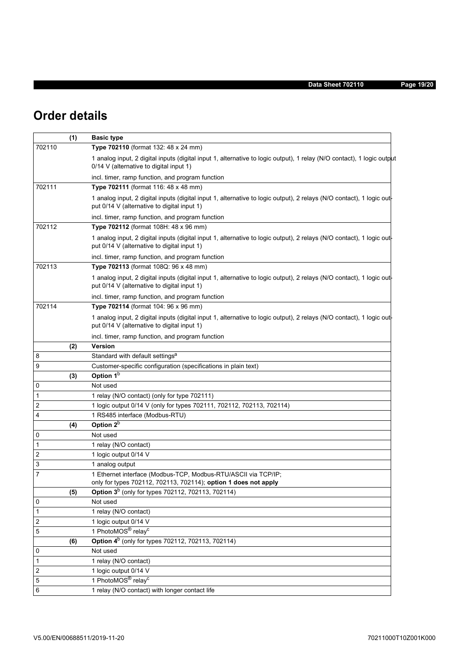# **Order details**

|        | (1) | <b>Basic type</b>                                                                                                                                                   |
|--------|-----|---------------------------------------------------------------------------------------------------------------------------------------------------------------------|
| 702110 |     | Type 702110 (format 132: 48 x 24 mm)                                                                                                                                |
|        |     | 1 analog input, 2 digital inputs (digital input 1, alternative to logic output), 1 relay (N/O contact), 1 logic output<br>0/14 V (alternative to digital input 1)   |
|        |     | incl. timer, ramp function, and program function                                                                                                                    |
| 702111 |     | Type 702111 (format 116: 48 x 48 mm)                                                                                                                                |
|        |     | 1 analog input, 2 digital inputs (digital input 1, alternative to logic output), 2 relays (N/O contact), 1 logic out<br>put 0/14 V (alternative to digital input 1) |
|        |     | incl. timer, ramp function, and program function                                                                                                                    |
| 702112 |     | Type 702112 (format 108H: 48 x 96 mm)                                                                                                                               |
|        |     | 1 analog input, 2 digital inputs (digital input 1, alternative to logic output), 2 relays (N/O contact), 1 logic out<br>put 0/14 V (alternative to digital input 1) |
|        |     | incl. timer, ramp function, and program function                                                                                                                    |
| 702113 |     | Type 702113 (format 108Q: 96 x 48 mm)                                                                                                                               |
|        |     | 1 analog input, 2 digital inputs (digital input 1, alternative to logic output), 2 relays (N/O contact), 1 logic out<br>put 0/14 V (alternative to digital input 1) |
|        |     | incl. timer, ramp function, and program function                                                                                                                    |
| 702114 |     | Type 702114 (format 104: 96 x 96 mm)                                                                                                                                |
|        |     | 1 analog input, 2 digital inputs (digital input 1, alternative to logic output), 2 relays (N/O contact), 1 logic out<br>put 0/14 V (alternative to digital input 1) |
|        |     | incl. timer, ramp function, and program function                                                                                                                    |
|        | (2) | Version                                                                                                                                                             |
| 8      |     | Standard with default settings <sup>a</sup>                                                                                                                         |
| 9      |     | Customer-specific configuration (specifications in plain text)                                                                                                      |
|        | (3) | Option 1 <sup>b</sup>                                                                                                                                               |
| 0      |     | Not used                                                                                                                                                            |
| 1      |     | 1 relay (N/O contact) (only for type 702111)                                                                                                                        |
| 2      |     | 1 logic output 0/14 V (only for types 702111, 702112, 702113, 702114)                                                                                               |
| 4      |     | 1 RS485 interface (Modbus-RTU)                                                                                                                                      |
|        | (4) | Option 2 <sup>b</sup>                                                                                                                                               |
| 0      |     | Not used                                                                                                                                                            |
| 1      |     | 1 relay (N/O contact)                                                                                                                                               |
| 2      |     | 1 logic output 0/14 V                                                                                                                                               |
| 3      |     | 1 analog output                                                                                                                                                     |
| 7      |     | 1 Ethernet interface (Modbus-TCP, Modbus-RTU/ASCII via TCP/IP;<br>only for types 702112, 702113, 702114); option 1 does not apply                                   |
|        | (5) | Option 3 <sup>b</sup> (only for types 702112, 702113, 702114)                                                                                                       |
| 0      |     | Not used                                                                                                                                                            |
| 1      |     | 1 relay (N/O contact)                                                                                                                                               |
| 2      |     | 1 logic output 0/14 V                                                                                                                                               |
| 5      |     | 1 PhotoMOS <sup>®</sup> relay <sup>c</sup>                                                                                                                          |
|        | (6) | Option 4 <sup>b</sup> (only for types 702112, 702113, 702114)                                                                                                       |
| 0      |     | Not used                                                                                                                                                            |
| 1      |     | 1 relay (N/O contact)                                                                                                                                               |
| 2      |     | 1 logic output 0/14 V<br>1 PhotoMOS <sup>®</sup> relay <sup>c</sup>                                                                                                 |
| 5      |     |                                                                                                                                                                     |
| 6      |     | 1 relay (N/O contact) with longer contact life                                                                                                                      |